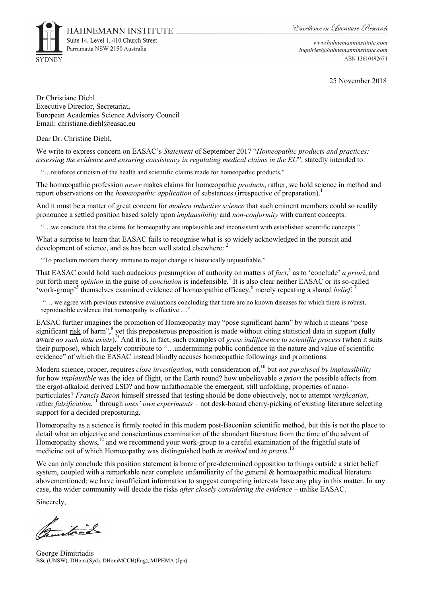

www.hahnemanninstitute.com inquiries@hahnemanninstitute.com ABN 13610192674

25 November 2018

Dr Christiane Diehl Executive Director, Secretariat, European Academies Science Advisory Council Email: christiane.diehl@easac.eu

Dear Dr. Christine Diehl,

We write to express concern on EASAC's *Statement* of September 2017 "*Homeopathic products and practices: assessing the evidence and ensuring consistency in regulating medical claims in the EU*", statedly intended to:

"…reinforce criticism of the health and scientific claims made for homeopathic products."

The homœopathic profession *never* makes claims for homœopathic *products*, rather, we hold science in method and report observations on the *homœopathic application* of substances (irrespective of preparation).<sup>1</sup>

And it must be a matter of great concern for *modern inductive science* that such eminent members could so readily pronounce a settled position based solely upon *implausibility* and *non-conformity* with current concepts:

"…we conclude that the claims for homeopathy are implausible and inconsistent with established scientific concepts."

What a surprise to learn that EASAC fails to recognise what is so widely acknowledged in the pursuit and development of science, and as has been well stated elsewhere: <sup>2</sup>

"To proclaim modern theory immune to major change is historically unjustifiable."

That EASAC could hold such audacious presumption of authority on matters of *fact*,<sup>3</sup> as to 'conclude' *a priori*, and put forth mere *opinion* in the guise of *conclusion* is indefensible.<sup>4</sup> It is also clear neither EASAC or its so-called work-group<sup>5</sup> themselves examined evidence of homœopathic efficacy,<sup>6</sup> merely repeating a shared *belief*:<sup>7</sup>

 "… we agree with previous extensive evaluations concluding that there are no known diseases for which there is robust, reproducible evidence that homeopathy is effective ...'

EASAC further imagines the promotion of Homœopathy may "pose significant harm" by which it means "pose significant risk of harm",<sup>8</sup> yet this preposterous proposition is made without citing statistical data in support (fully aware *no such data exists*).<sup>9</sup> And it is, in fact, such examples of *gross indifference to scientific process* (when it suits their purpose), which largely contribute to "…undermining public confidence in the nature and value of scientific evidence" of which the EASAC instead blindly accuses homœopathic followings and promotions.

Modern science, proper, requires *close investigation*, with consideration of,<sup>10</sup> but *not paralysed by implausibility* – for how *implausible* was the idea of flight, or the Earth round? how unbelievable *a priori* the possible effects from the ergot-alkaloid derived LSD? and how unfathomable the emergent, still unfolding, properties of nanoparticulates? *Francis Bacon* himself stressed that testing should be done objectively, not to attempt *verification*, rather *falsification*, 11 through *ones' own experiments* – not desk-bound cherry-picking of existing literature selecting support for a decided preposturing.

Homœopathy as a science is firmly rooted in this modern post-Baconian scientific method, but this is not the place to detail what an objective and conscientious examination of the abundant literature from the time of the advent of Homeopathy shows,<sup>12</sup> and we recommend your work-group to a careful examination of the frightful state of medicine out of which Homœopathy was distinguished both *in method* and *in praxis*. 13

We can only conclude this position statement is borne of pre-determined opposition to things outside a strict belief system, coupled with a remarkable near complete unfamiliarity of the general & homœopathic medical literature abovementioned; we have insufficient information to suggest competing interests have any play in this matter. In any case, the wider community will decide the risks *after closely considering the evidence* – unlike EASAC.

Sincerely,

itrad

George Dimitriadis BSc.(UNSW), DHom.(Syd), DHomMCCH(Eng), MJPHMA (Jpn)